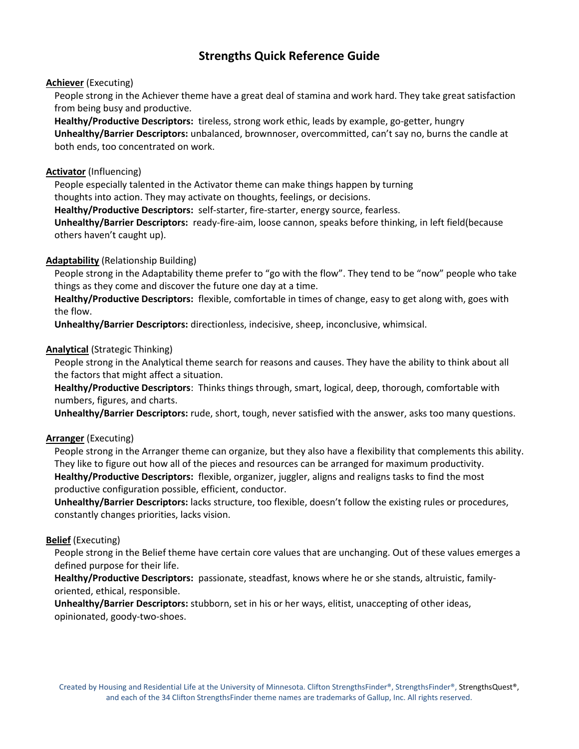# **Strengths Quick Reference Guide**

# **Achiever** (Executing)

People strong in the Achiever theme have a great deal of stamina and work hard. They take great satisfaction from being busy and productive.

**Healthy/Productive Descriptors:** tireless, strong work ethic, leads by example, go-getter, hungry **Unhealthy/Barrier Descriptors:** unbalanced, brownnoser, overcommitted, can't say no, burns the candle at both ends, too concentrated on work.

# **Activator** (Influencing)

People especially talented in the Activator theme can make things happen by turning thoughts into action. They may activate on thoughts, feelings, or decisions.

**Healthy/Productive Descriptors:** self-starter, fire-starter, energy source, fearless.

**Unhealthy/Barrier Descriptors:** ready-fire-aim, loose cannon, speaks before thinking, in left field(because others haven't caught up).

# **Adaptability** (Relationship Building)

People strong in the Adaptability theme prefer to "go with the flow". They tend to be "now" people who take things as they come and discover the future one day at a time.

**Healthy/Productive Descriptors:** flexible, comfortable in times of change, easy to get along with, goes with the flow.

**Unhealthy/Barrier Descriptors:** directionless, indecisive, sheep, inconclusive, whimsical.

# **Analytical** (Strategic Thinking)

People strong in the Analytical theme search for reasons and causes. They have the ability to think about all the factors that might affect a situation.

**Healthy/Productive Descriptors**: Thinks things through, smart, logical, deep, thorough, comfortable with numbers, figures, and charts.

**Unhealthy/Barrier Descriptors:** rude, short, tough, never satisfied with the answer, asks too many questions.

# **Arranger** (Executing)

People strong in the Arranger theme can organize, but they also have a flexibility that complements this ability. They like to figure out how all of the pieces and resources can be arranged for maximum productivity. **Healthy/Productive Descriptors:** flexible, organizer, juggler, aligns and realigns tasks to find the most productive configuration possible, efficient, conductor.

**Unhealthy/Barrier Descriptors:** lacks structure, too flexible, doesn't follow the existing rules or procedures, constantly changes priorities, lacks vision.

## **Belief** (Executing)

People strong in the Belief theme have certain core values that are unchanging. Out of these values emerges a defined purpose for their life.

**Healthy/Productive Descriptors:** passionate, steadfast, knows where he or she stands, altruistic, familyoriented, ethical, responsible.

**Unhealthy/Barrier Descriptors:** stubborn, set in his or her ways, elitist, unaccepting of other ideas, opinionated, goody-two-shoes.

Created by Housing and Residential Life at the University of Minnesota. Clifton StrengthsFinder®, StrengthsFinder®, StrengthsQuest®, and each of the 34 Clifton StrengthsFinder theme names are trademarks of Gallup, Inc. All rights reserved.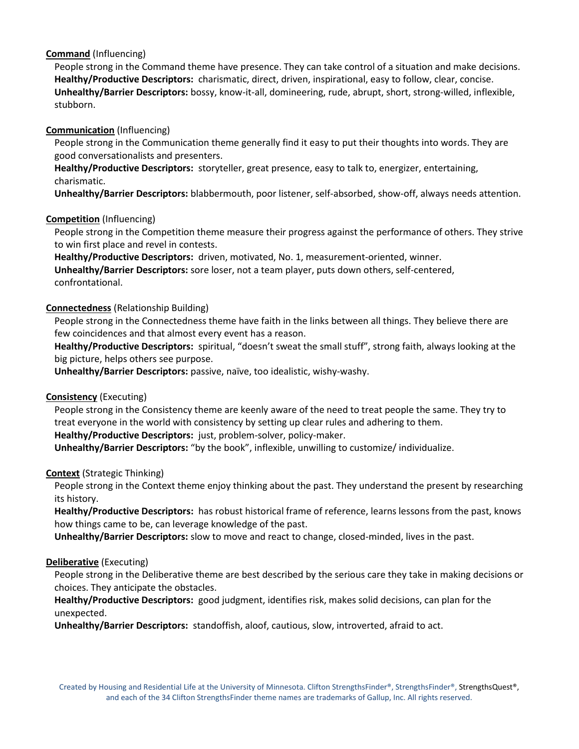# **Command** (Influencing)

People strong in the Command theme have presence. They can take control of a situation and make decisions. **Healthy/Productive Descriptors:** charismatic, direct, driven, inspirational, easy to follow, clear, concise. **Unhealthy/Barrier Descriptors:** bossy, know-it-all, domineering, rude, abrupt, short, strong-willed, inflexible, stubborn.

# **Communication** (Influencing)

People strong in the Communication theme generally find it easy to put their thoughts into words. They are good conversationalists and presenters.

**Healthy/Productive Descriptors:** storyteller, great presence, easy to talk to, energizer, entertaining, charismatic.

**Unhealthy/Barrier Descriptors:** blabbermouth, poor listener, self-absorbed, show-off, always needs attention.

## **Competition** (Influencing)

People strong in the Competition theme measure their progress against the performance of others. They strive to win first place and revel in contests.

**Healthy/Productive Descriptors:** driven, motivated, No. 1, measurement-oriented, winner. **Unhealthy/Barrier Descriptors:** sore loser, not a team player, puts down others, self-centered,

#### confrontational.

## **Connectedness** (Relationship Building)

People strong in the Connectedness theme have faith in the links between all things. They believe there are few coincidences and that almost every event has a reason.

**Healthy/Productive Descriptors:** spiritual, "doesn't sweat the small stuff", strong faith, always looking at the big picture, helps others see purpose.

**Unhealthy/Barrier Descriptors:** passive, naïve, too idealistic, wishy-washy.

## **Consistency** (Executing)

People strong in the Consistency theme are keenly aware of the need to treat people the same. They try to treat everyone in the world with consistency by setting up clear rules and adhering to them.

**Healthy/Productive Descriptors:** just, problem-solver, policy-maker.

**Unhealthy/Barrier Descriptors:** "by the book", inflexible, unwilling to customize/ individualize.

# **Context** (Strategic Thinking)

People strong in the Context theme enjoy thinking about the past. They understand the present by researching its history.

**Healthy/Productive Descriptors:** has robust historical frame of reference, learns lessons from the past, knows how things came to be, can leverage knowledge of the past.

**Unhealthy/Barrier Descriptors:** slow to move and react to change, closed-minded, lives in the past.

## **Deliberative** (Executing)

People strong in the Deliberative theme are best described by the serious care they take in making decisions or choices. They anticipate the obstacles.

**Healthy/Productive Descriptors:** good judgment, identifies risk, makes solid decisions, can plan for the unexpected.

**Unhealthy/Barrier Descriptors:** standoffish, aloof, cautious, slow, introverted, afraid to act.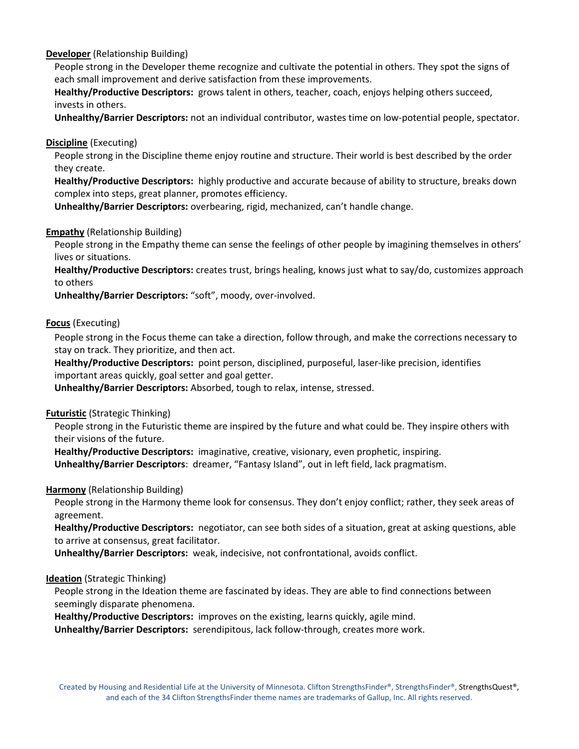# **Developer** (Relationship Building)

People strong in the Developer theme recognize and cultivate the potential in others. They spot the signs of each small improvement and derive satisfaction from these improvements.

**Healthy/Productive Descriptors:** grows talent in others, teacher, coach, enjoys helping others succeed, invests in others.

**Unhealthy/Barrier Descriptors:** not an individual contributor, wastes time on low-potential people, spectator.

## **Discipline** (Executing)

People strong in the Discipline theme enjoy routine and structure. Their world is best described by the order they create.

**Healthy/Productive Descriptors:** highly productive and accurate because of ability to structure, breaks down complex into steps, great planner, promotes efficiency.

**Unhealthy/Barrier Descriptors:** overbearing, rigid, mechanized, can't handle change.

#### **Empathy** (Relationship Building)

People strong in the Empathy theme can sense the feelings of other people by imagining themselves in others' lives or situations.

**Healthy/Productive Descriptors:** creates trust, brings healing, knows just what to say/do, customizes approach to others

**Unhealthy/Barrier Descriptors:** "soft", moody, over-involved.

#### **Focus** (Executing)

People strong in the Focus theme can take a direction, follow through, and make the corrections necessary to stay on track. They prioritize, and then act.

**Healthy/Productive Descriptors:** point person, disciplined, purposeful, laser-like precision, identifies important areas quickly, goal setter and goal getter.

**Unhealthy/Barrier Descriptors:** Absorbed, tough to relax, intense, stressed.

#### **Futuristic** (Strategic Thinking)

People strong in the Futuristic theme are inspired by the future and what could be. They inspire others with their visions of the future.

**Healthy/Productive Descriptors:** imaginative, creative, visionary, even prophetic, inspiring.

**Unhealthy/Barrier Descriptors**: dreamer, "Fantasy Island", out in left field, lack pragmatism.

## **Harmony** (Relationship Building)

People strong in the Harmony theme look for consensus. They don't enjoy conflict; rather, they seek areas of agreement.

**Healthy/Productive Descriptors:** negotiator, can see both sides of a situation, great at asking questions, able to arrive at consensus, great facilitator.

**Unhealthy/Barrier Descriptors:** weak, indecisive, not confrontational, avoids conflict.

#### **Ideation** (Strategic Thinking)

People strong in the Ideation theme are fascinated by ideas. They are able to find connections between seemingly disparate phenomena.

**Healthy/Productive Descriptors:** improves on the existing, learns quickly, agile mind.

**Unhealthy/Barrier Descriptors:** serendipitous, lack follow-through, creates more work.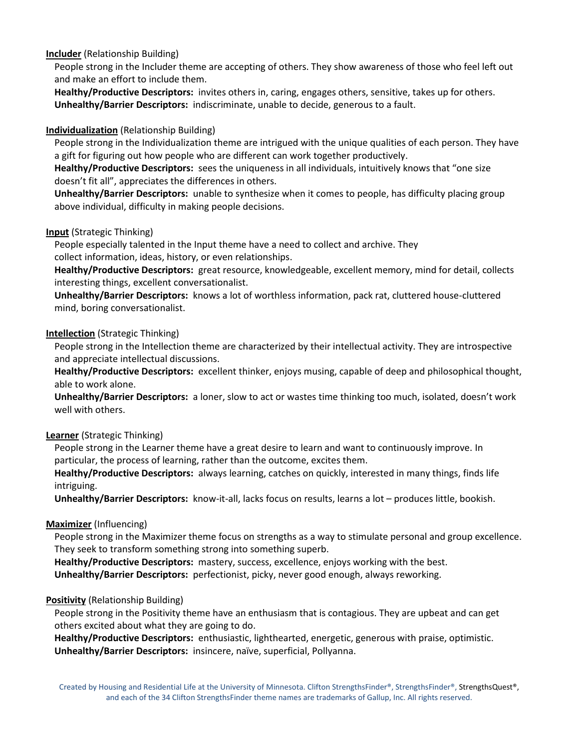# **Includer** (Relationship Building)

People strong in the Includer theme are accepting of others. They show awareness of those who feel left out and make an effort to include them.

**Healthy/Productive Descriptors:** invites others in, caring, engages others, sensitive, takes up for others. **Unhealthy/Barrier Descriptors:** indiscriminate, unable to decide, generous to a fault.

# **Individualization** (Relationship Building)

People strong in the Individualization theme are intrigued with the unique qualities of each person. They have a gift for figuring out how people who are different can work together productively.

**Healthy/Productive Descriptors:** sees the uniqueness in all individuals, intuitively knows that "one size doesn't fit all", appreciates the differences in others.

**Unhealthy/Barrier Descriptors:** unable to synthesize when it comes to people, has difficulty placing group above individual, difficulty in making people decisions.

# **Input** (Strategic Thinking)

People especially talented in the Input theme have a need to collect and archive. They collect information, ideas, history, or even relationships.

**Healthy/Productive Descriptors:** great resource, knowledgeable, excellent memory, mind for detail, collects interesting things, excellent conversationalist.

**Unhealthy/Barrier Descriptors:** knows a lot of worthless information, pack rat, cluttered house-cluttered mind, boring conversationalist.

## **Intellection** (Strategic Thinking)

People strong in the Intellection theme are characterized by their intellectual activity. They are introspective and appreciate intellectual discussions.

**Healthy/Productive Descriptors:** excellent thinker, enjoys musing, capable of deep and philosophical thought, able to work alone.

**Unhealthy/Barrier Descriptors:** a loner, slow to act or wastes time thinking too much, isolated, doesn't work well with others.

## **Learner** (Strategic Thinking)

People strong in the Learner theme have a great desire to learn and want to continuously improve. In particular, the process of learning, rather than the outcome, excites them.

**Healthy/Productive Descriptors:** always learning, catches on quickly, interested in many things, finds life intriguing.

**Unhealthy/Barrier Descriptors:** know-it-all, lacks focus on results, learns a lot – produces little, bookish.

## **Maximizer** (Influencing)

People strong in the Maximizer theme focus on strengths as a way to stimulate personal and group excellence. They seek to transform something strong into something superb.

**Healthy/Productive Descriptors:** mastery, success, excellence, enjoys working with the best. **Unhealthy/Barrier Descriptors:** perfectionist, picky, never good enough, always reworking.

# **Positivity** (Relationship Building)

People strong in the Positivity theme have an enthusiasm that is contagious. They are upbeat and can get others excited about what they are going to do.

**Healthy/Productive Descriptors:** enthusiastic, lighthearted, energetic, generous with praise, optimistic. **Unhealthy/Barrier Descriptors:** insincere, naïve, superficial, Pollyanna.